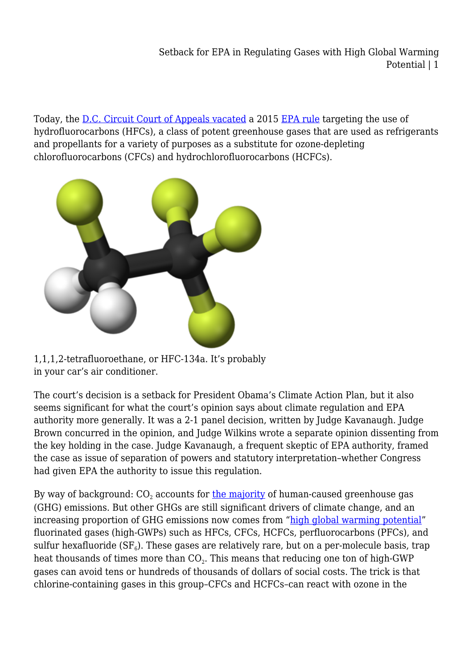Setback for EPA in Regulating Gases with High Global Warming Potential | 1

Today, the [D.C. Circuit Court of Appeals vacated](https://www.cadc.uscourts.gov/internet/opinions.nsf/3EDC3D4817D618CF8525817600508EF4/$file/15-1328-1687707.pdf) a 2015 [EPA rule](http://www.federalregister.com/Browse/AuxData/F661105B-F626-476B-9393-0506E7AE4F9B) targeting the use of hydrofluorocarbons (HFCs), a class of potent greenhouse gases that are used as refrigerants and propellants for a variety of purposes as a substitute for ozone-depleting chlorofluorocarbons (CFCs) and hydrochlorofluorocarbons (HCFCs).



1,1,1,2-tetrafluoroethane, or HFC-134a. It's probably in your car's air conditioner.

The court's decision is a setback for President Obama's Climate Action Plan, but it also seems significant for what the court's opinion says about climate regulation and EPA authority more generally. It was a 2-1 panel decision, written by Judge Kavanaugh. Judge Brown concurred in the opinion, and Judge Wilkins wrote a separate opinion dissenting from the key holding in the case. Judge Kavanaugh, a frequent skeptic of EPA authority, framed the case as issue of separation of powers and statutory interpretation–whether Congress had given EPA the authority to issue this regulation.

By way of background: CO<sub>2</sub> accounts for <u>the majority</u> of human-caused greenhouse gas (GHG) emissions. But other GHGs are still significant drivers of climate change, and an increasing proportion of GHG emissions now comes from ["high global warming potential"](https://www.epa.gov/ghgemissions/overview-greenhouse-gases#f-gases) fluorinated gases (high-GWPs) such as HFCs, CFCs, HCFCs, perfluorocarbons (PFCs), and sulfur hexafluoride (SF $_{\scriptscriptstyle{6}}$ ). These gases are relatively rare, but on a per-molecule basis, trap heat thousands of times more than  $\mathrm{CO}_2.$  This means that reducing one ton of high-GWP gases can avoid tens or hundreds of thousands of dollars of social costs. The trick is that chlorine-containing gases in this group–CFCs and HCFCs–can react with ozone in the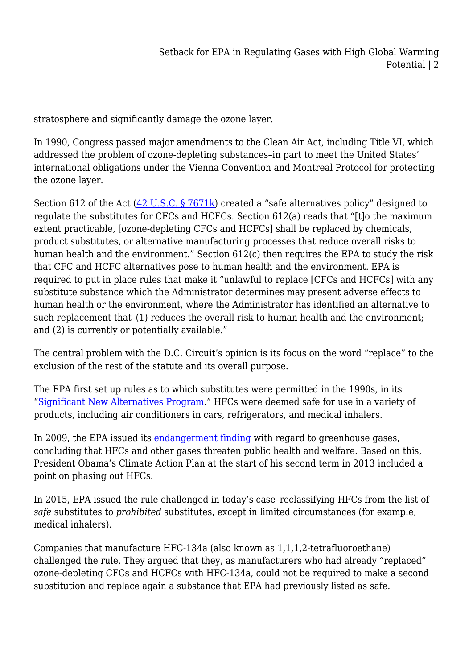stratosphere and significantly damage the ozone layer.

In 1990, Congress passed major amendments to the Clean Air Act, including Title VI, which addressed the problem of ozone-depleting substances–in part to meet the United States' international obligations under the Vienna Convention and Montreal Protocol for protecting the ozone layer.

Section 612 of the Act  $(42 \text{ U.S.C.} \frac{57671 \text{ k}}{2})$  created a "safe alternatives policy" designed to regulate the substitutes for CFCs and HCFCs. Section 612(a) reads that "[t]o the maximum extent practicable, [ozone-depleting CFCs and HCFCs] shall be replaced by chemicals, product substitutes, or alternative manufacturing processes that reduce overall risks to human health and the environment." Section 612(c) then requires the EPA to study the risk that CFC and HCFC alternatives pose to human health and the environment. EPA is required to put in place rules that make it "unlawful to replace [CFCs and HCFCs] with any substitute substance which the Administrator determines may present adverse effects to human health or the environment, where the Administrator has identified an alternative to such replacement that–(1) reduces the overall risk to human health and the environment; and (2) is currently or potentially available."

The central problem with the D.C. Circuit's opinion is its focus on the word "replace" to the exclusion of the rest of the statute and its overall purpose.

The EPA first set up rules as to which substitutes were permitted in the 1990s, in its ["Significant New Alternatives Program.](https://www.epa.gov/snap)" HFCs were deemed safe for use in a variety of products, including air conditioners in cars, refrigerators, and medical inhalers.

In 2009, the EPA issued its [endangerment finding](https://www.epa.gov/ghgemissions/endangerment-and-cause-or-contribute-findings-greenhouse-gases-under-section-202a-clean) with regard to greenhouse gases, concluding that HFCs and other gases threaten public health and welfare. Based on this, President Obama's Climate Action Plan at the start of his second term in 2013 included a point on phasing out HFCs.

In 2015, EPA issued the rule challenged in today's case–reclassifying HFCs from the list of *safe* substitutes to *prohibited* substitutes, except in limited circumstances (for example, medical inhalers).

Companies that manufacture HFC-134a (also known as 1,1,1,2-tetrafluoroethane) challenged the rule. They argued that they, as manufacturers who had already "replaced" ozone-depleting CFCs and HCFCs with HFC-134a, could not be required to make a second substitution and replace again a substance that EPA had previously listed as safe.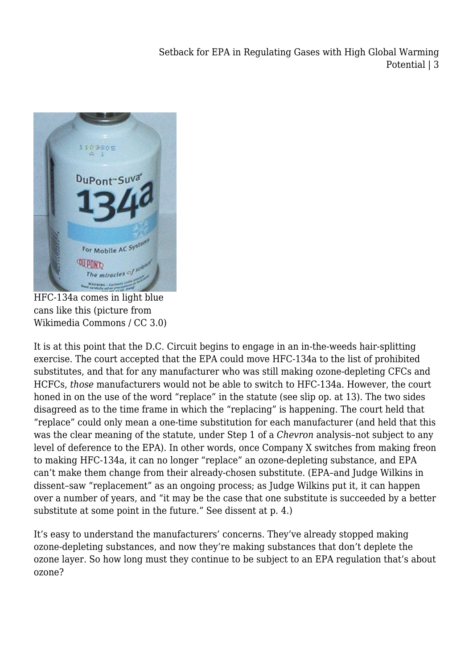Setback for EPA in Regulating Gases with High Global Warming Potential | 3



HFC-134a comes in light blue cans like this (picture from Wikimedia Commons / CC 3.0)

It is at this point that the D.C. Circuit begins to engage in an in-the-weeds hair-splitting exercise. The court accepted that the EPA could move HFC-134a to the list of prohibited substitutes, and that for any manufacturer who was still making ozone-depleting CFCs and HCFCs, *those* manufacturers would not be able to switch to HFC-134a. However, the court honed in on the use of the word "replace" in the statute (see slip op. at 13). The two sides disagreed as to the time frame in which the "replacing" is happening. The court held that "replace" could only mean a one-time substitution for each manufacturer (and held that this was the clear meaning of the statute, under Step 1 of a *Chevron* analysis–not subject to any level of deference to the EPA). In other words, once Company X switches from making freon to making HFC-134a, it can no longer "replace" an ozone-depleting substance, and EPA can't make them change from their already-chosen substitute. (EPA–and Judge Wilkins in dissent–saw "replacement" as an ongoing process; as Judge Wilkins put it, it can happen over a number of years, and "it may be the case that one substitute is succeeded by a better substitute at some point in the future." See dissent at p. 4.)

It's easy to understand the manufacturers' concerns. They've already stopped making ozone-depleting substances, and now they're making substances that don't deplete the ozone layer. So how long must they continue to be subject to an EPA regulation that's about ozone?